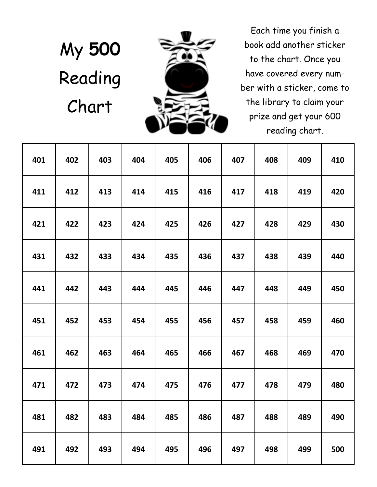## My **500**  Reading Chart



Each time you finish a book add another sticker to the chart. Once you have covered every number with a sticker, come to the library to claim your prize and get your 600 reading chart.

| 401 | 402 | 403 | 404 | 405 | 406 | 407 | 408 | 409 | 410 |
|-----|-----|-----|-----|-----|-----|-----|-----|-----|-----|
| 411 | 412 | 413 | 414 | 415 | 416 | 417 | 418 | 419 | 420 |
| 421 | 422 | 423 | 424 | 425 | 426 | 427 | 428 | 429 | 430 |
| 431 | 432 | 433 | 434 | 435 | 436 | 437 | 438 | 439 | 440 |
| 441 | 442 | 443 | 444 | 445 | 446 | 447 | 448 | 449 | 450 |
| 451 | 452 | 453 | 454 | 455 | 456 | 457 | 458 | 459 | 460 |
| 461 | 462 | 463 | 464 | 465 | 466 | 467 | 468 | 469 | 470 |
| 471 | 472 | 473 | 474 | 475 | 476 | 477 | 478 | 479 | 480 |
| 481 | 482 | 483 | 484 | 485 | 486 | 487 | 488 | 489 | 490 |
| 491 | 492 | 493 | 494 | 495 | 496 | 497 | 498 | 499 | 500 |